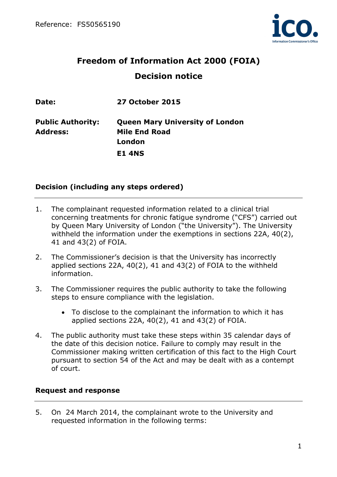

# **Freedom of Information Act 2000 (FOIA) Decision notice**

| Date:                    | <b>27 October 2015</b>                 |
|--------------------------|----------------------------------------|
| <b>Public Authority:</b> | <b>Queen Mary University of London</b> |
| <b>Address:</b>          | <b>Mile End Road</b>                   |
|                          | London                                 |
|                          | <b>E1 4NS</b>                          |
|                          |                                        |

## **Decision (including any steps ordered)**

- 1. The complainant requested information related to a clinical trial concerning treatments for chronic fatigue syndrome ("CFS") carried out by Queen Mary University of London ("the University"). The University withheld the information under the exemptions in sections 22A, 40(2), 41 and 43(2) of FOIA.
- 2. The Commissioner's decision is that the University has incorrectly applied sections 22A, 40(2), 41 and 43(2) of FOIA to the withheld information.
- 3. The Commissioner requires the public authority to take the following steps to ensure compliance with the legislation.
	- To disclose to the complainant the information to which it has applied sections 22A, 40(2), 41 and 43(2) of FOIA.
- 4. The public authority must take these steps within 35 calendar days of the date of this decision notice. Failure to comply may result in the Commissioner making written certification of this fact to the High Court pursuant to section 54 of the Act and may be dealt with as a contempt of court.

#### **Request and response**

5. On 24 March 2014, the complainant wrote to the University and requested information in the following terms: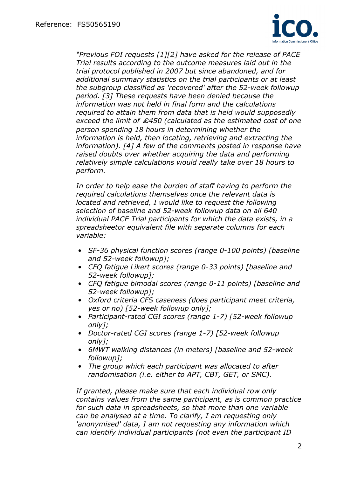

*"Previous FOI requests [1][2] have asked for the release of PACE Trial results according to the outcome measures laid out in the trial protocol published in 2007 but since abandoned, and for additional summary statistics on the trial participants or at least the subgroup classified as 'recovered' after the 52-week followup period. [3] These requests have been denied because the information was not held in final form and the calculations required to attain them from data that is held would supposedly exceed the limit of* £*450 (calculated as the estimated cost of one person spending 18 hours in determining whether the information is held, then locating, retrieving and extracting the information). [4] A few of the comments posted in response have raised doubts over whether acquiring the data and performing relatively simple calculations would really take over 18 hours to perform.* 

*In order to help ease the burden of staff having to perform the required calculations themselves once the relevant data is located and retrieved. I would like to request the following selection of baseline and 52-week followup data on all 640 individual PACE Trial participants for which the data exists, in a spreadsheetor equivalent file with separate columns for each variable:* 

- *SF-36 physical function scores (range 0-100 points) [baseline and 52-week followup];*
- *CFQ fatigue Likert scores (range 0-33 points) [baseline and 52-week followup];*
- *CFQ fatigue bimodal scores (range 0-11 points) [baseline and 52-week followup];*
- *Oxford criteria CFS caseness (does participant meet criteria, yes or no) [52-week followup only];*
- *Participant-rated CGI scores (range 1-7) [52-week followup only];*
- *Doctor-rated CGI scores (range 1-7) [52-week followup only];*
- *6MWT walking distances (in meters) [baseline and 52-week followup];*
- *The group which each participant was allocated to after randomisation (i.e. either to APT, CBT, GET, or SMC).*

*If granted, please make sure that each individual row only contains values from the same participant, as is common practice for such data in spreadsheets, so that more than one variable can be analysed at a time. To clarify, I am requesting only 'anonymised' data, I am not requesting any information which can identify individual participants (not even the participant ID*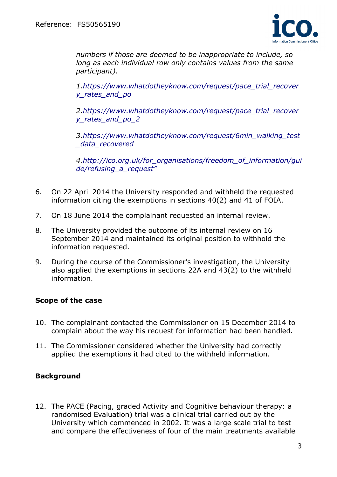

*numbers if those are deemed to be inappropriate to include, so long as each individual row only contains values from the same participant).* 

*1.https://www.whatdotheyknow.com/request/pace\_trial\_recover y\_rates\_and\_po* 

*2.https://www.whatdotheyknow.com/request/pace\_trial\_recover y\_rates\_and\_po\_2* 

*3.https://www.whatdotheyknow.com/request/6min\_walking\_test \_data\_recovered* 

*4.http://ico.org.uk/for\_organisations/freedom\_of\_information/gui de/refusing\_a\_request"* 

- 6. On 22 April 2014 the University responded and withheld the requested information citing the exemptions in sections 40(2) and 41 of FOIA.
- 7. On 18 June 2014 the complainant requested an internal review.
- 8. The University provided the outcome of its internal review on 16 September 2014 and maintained its original position to withhold the information requested.
- 9. During the course of the Commissioner's investigation, the University also applied the exemptions in sections 22A and 43(2) to the withheld information.

# **Scope of the case**

- 10. The complainant contacted the Commissioner on 15 December 2014 to complain about the way his request for information had been handled.
- 11. The Commissioner considered whether the University had correctly applied the exemptions it had cited to the withheld information.

# **Background**

12. The PACE (Pacing, graded Activity and Cognitive behaviour therapy: a randomised Evaluation) trial was a clinical trial carried out by the University which commenced in 2002. It was a large scale trial to test and compare the effectiveness of four of the main treatments available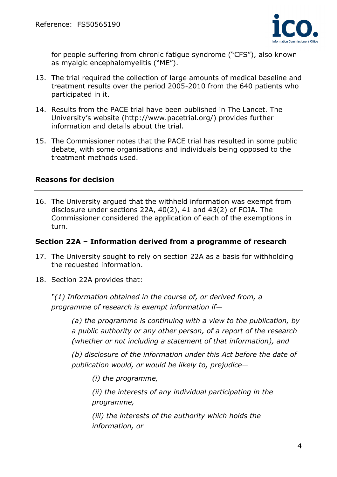

for people suffering from chronic fatigue syndrome ("CFS"), also known as myalgic encephalomyelitis ("ME").

- 13. The trial required the collection of large amounts of medical baseline and treatment results over the period 2005-2010 from the 640 patients who participated in it.
- 14. Results from the PACE trial have been published in The Lancet. The University's website (http://www.pacetrial.org/) provides further information and details about the trial.
- 15. The Commissioner notes that the PACE trial has resulted in some public debate, with some organisations and individuals being opposed to the treatment methods used.

## **Reasons for decision**

16. The University argued that the withheld information was exempt from disclosure under sections 22A, 40(2), 41 and 43(2) of FOIA. The Commissioner considered the application of each of the exemptions in turn.

#### **Section 22A – Information derived from a programme of research**

- 17. The University sought to rely on section 22A as a basis for withholding the requested information.
- 18. Section 22A provides that:

*"(1) Information obtained in the course of, or derived from, a programme of research is exempt information if—* 

> *(a) the programme is continuing with a view to the publication, by a public authority or any other person, of a report of the research (whether or not including a statement of that information), and*

> *(b) disclosure of the information under this Act before the date of publication would, or would be likely to, prejudice—*

*(i) the programme,* 

*(ii) the interests of any individual participating in the programme,* 

*(iii) the interests of the authority which holds the information, or*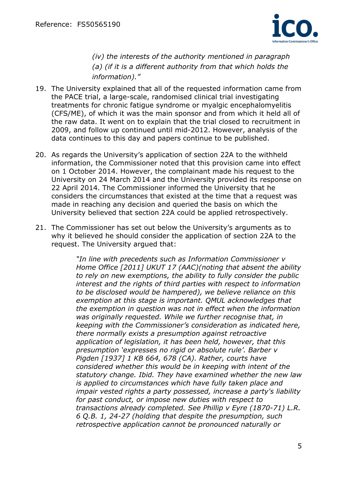

*(iv) the interests of the authority mentioned in paragraph (a) (if it is a different authority from that which holds the information)."* 

- 19. The University explained that all of the requested information came from the PACE trial, a large-scale, randomised clinical trial investigating treatments for chronic fatigue syndrome or myalgic encephalomyelitis (CFS/ME), of which it was the main sponsor and from which it held all of the raw data. It went on to explain that the trial closed to recruitment in 2009, and follow up continued until mid-2012. However, analysis of the data continues to this day and papers continue to be published.
- 20. As regards the University's application of section 22A to the withheld information, the Commissioner noted that this provision came into effect on 1 October 2014. However, the complainant made his request to the University on 24 March 2014 and the University provided its response on 22 April 2014. The Commissioner informed the University that he considers the circumstances that existed at the time that a request was made in reaching any decision and queried the basis on which the University believed that section 22A could be applied retrospectively.
- 21. The Commissioner has set out below the University's arguments as to why it believed he should consider the application of section 22A to the request. The University argued that:

*"In line with precedents such as Information Commissioner v Home Office [2011] UKUT 17 (AAC)(noting that absent the ability to rely on new exemptions, the ability to fully consider the public interest and the rights of third parties with respect to information to be disclosed would be hampered), we believe reliance on this exemption at this stage is important. QMUL acknowledges that the exemption in question was not in effect when the information was originally requested. While we further recognise that, in keeping with the Commissioner's consideration as indicated here, there normally exists a presumption against retroactive application of legislation, it has been held, however, that this presumption 'expresses no rigid or absolute rule'. Barber v Pigden [1937] 1 KB 664, 678 (CA). Rather, courts have considered whether this would be in keeping with intent of the statutory change. Ibid. They have examined whether the new law is applied to circumstances which have fully taken place and impair vested rights a party possessed, increase a party's liability for past conduct, or impose new duties with respect to transactions already completed. See Phillip v Eyre (1870-71) L.R. 6 Q.B. 1, 24-27 (holding that despite the presumption, such retrospective application cannot be pronounced naturally or*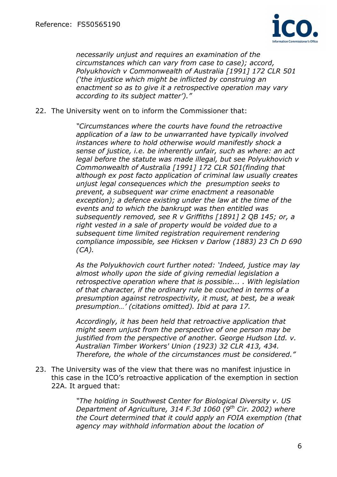

*necessarily unjust and requires an examination of the circumstances which can vary from case to case); accord, Polyukhovich v Commonwealth of Australia [1991] 172 CLR 501 ('the injustice which might be inflicted by construing an enactment so as to give it a retrospective operation may vary according to its subject matter')."* 

22. The University went on to inform the Commissioner that:

*"Circumstances where the courts have found the retroactive application of a law to be unwarranted have typically involved instances where to hold otherwise would manifestly shock a sense of justice, i.e. be inherently unfair, such as where: an act legal before the statute was made illegal, but see Polyukhovich v Commonwealth of Australia [1991] 172 CLR 501(finding that although ex post facto application of criminal law usually creates unjust legal consequences which the presumption seeks to prevent, a subsequent war crime enactment a reasonable exception); a defence existing under the law at the time of the events and to which the bankrupt was then entitled was subsequently removed, see R v Griffiths [1891] 2 QB 145; or, a right vested in a sale of property would be voided due to a subsequent time limited registration requirement rendering compliance impossible, see Hicksen v Darlow (1883) 23 Ch D 690 (CA).* 

*As the Polyukhovich court further noted: 'Indeed, justice may lay almost wholly upon the side of giving remedial legislation a retrospective operation where that is possible... . With legislation of that character, if the ordinary rule be couched in terms of a presumption against retrospectivity, it must, at best, be a weak presumption…' (citations omitted). Ibid at para 17.* 

*Accordingly, it has been held that retroactive application that might seem unjust from the perspective of one person may be justified from the perspective of another. George Hudson Ltd. v. Australian Timber Workers' Union (1923) 32 CLR 413, 434. Therefore, the whole of the circumstances must be considered."* 

23. The University was of the view that there was no manifest injustice in this case in the ICO's retroactive application of the exemption in section 22A. It argued that:

> *"The holding in Southwest Center for Biological Diversity v. US Department of Agriculture, 314 F.3d 1060 (9th Cir. 2002) where the Court determined that it could apply an FOIA exemption (that agency may withhold information about the location of*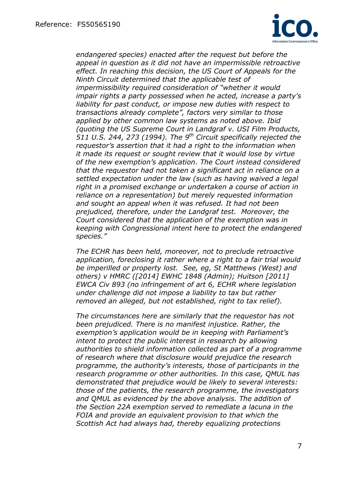

*endangered species) enacted after the request but before the appeal in question as it did not have an impermissible retroactive effect. In reaching this decision, the US Court of Appeals for the Ninth Circuit determined that the applicable test of impermissibility required consideration of "whether it would impair rights a party possessed when he acted, increase a party's liability for past conduct, or impose new duties with respect to transactions already complete", factors very similar to those applied by other common law systems as noted above. Ibid (quoting the US Supreme Court in Landgraf v. USI Film Products, 511 U.S. 244, 273 (1994). The 9th Circuit specifically rejected the requestor's assertion that it had a right to the information when it made its request or sought review that it would lose by virtue of the new exemption's application. The Court instead considered that the requestor had not taken a significant act in reliance on a settled expectation under the law (such as having waived a legal right in a promised exchange or undertaken a course of action in reliance on a representation) but merely requested information and sought an appeal when it was refused. It had not been prejudiced, therefore, under the Landgraf test. Moreover, the Court considered that the application of the exemption was in keeping with Congressional intent here to protect the endangered species."* 

*The ECHR has been held, moreover, not to preclude retroactive application, foreclosing it rather where a right to a fair trial would be imperilled or property lost. See, eg, St Matthews (West) and others) v HMRC ([2014] EWHC 1848 (Admin); Huitson [2011] EWCA Civ 893 (no infringement of art 6, ECHR where legislation under challenge did not impose a liability to tax but rather removed an alleged, but not established, right to tax relief).* 

*The circumstances here are similarly that the requestor has not been prejudiced. There is no manifest injustice. Rather, the exemption's application would be in keeping with Parliament's intent to protect the public interest in research by allowing authorities to shield information collected as part of a programme of research where that disclosure would prejudice the research programme, the authority's interests, those of participants in the research programme or other authorities. In this case, QMUL has demonstrated that prejudice would be likely to several interests: those of the patients, the research programme, the investigators and QMUL as evidenced by the above analysis. The addition of the Section 22A exemption served to remediate a lacuna in the FOIA and provide an equivalent provision to that which the Scottish Act had always had, thereby equalizing protections*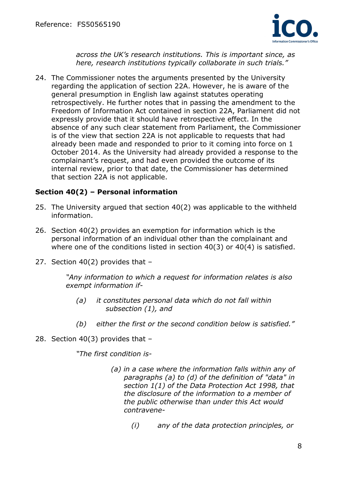

*across the UK's research institutions. This is important since, as here, research institutions typically collaborate in such trials."* 

24. The Commissioner notes the arguments presented by the University regarding the application of section 22A. However, he is aware of the general presumption in English law against statutes operating retrospectively. He further notes that in passing the amendment to the Freedom of Information Act contained in section 22A, Parliament did not expressly provide that it should have retrospective effect. In the absence of any such clear statement from Parliament, the Commissioner is of the view that section 22A is not applicable to requests that had already been made and responded to prior to it coming into force on 1 October 2014. As the University had already provided a response to the complainant's request, and had even provided the outcome of its internal review, prior to that date, the Commissioner has determined that section 22A is not applicable.

## **Section 40(2) – Personal information**

- 25. The University argued that section 40(2) was applicable to the withheld information.
- 26. Section 40(2) provides an exemption for information which is the personal information of an individual other than the complainant and where one of the conditions listed in section 40(3) or 40(4) is satisfied.
- 27. Section 40(2) provides that –

*"Any information to which a request for information relates is also exempt information if-* 

- *(a) it constitutes personal data which do not fall within subsection (1), and*
- *(b) either the first or the second condition below is satisfied."*
- 28. Section 40(3) provides that –

*"The first condition is-* 

- *(a) in a case where the information falls within any of paragraphs (a) to (d) of the definition of "data" in section 1(1) of the Data Protection Act 1998, that the disclosure of the information to a member of the public otherwise than under this Act would contravene-* 
	- *(i) any of the data protection principles, or*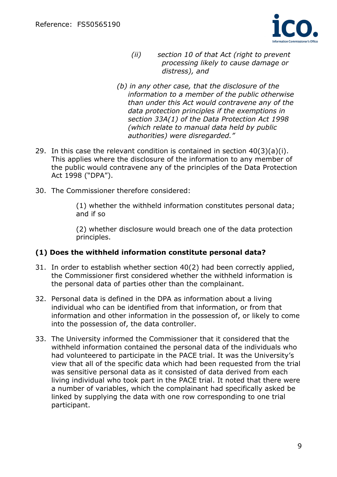

- *(ii) section 10 of that Act (right to prevent processing likely to cause damage or distress), and*
- *(b) in any other case, that the disclosure of the information to a member of the public otherwise than under this Act would contravene any of the data protection principles if the exemptions in section 33A(1) of the Data Protection Act 1998 (which relate to manual data held by public authorities) were disregarded."*
- 29. In this case the relevant condition is contained in section 40(3)(a)(i). This applies where the disclosure of the information to any member of the public would contravene any of the principles of the Data Protection Act 1998 ("DPA").
- 30. The Commissioner therefore considered:

(1) whether the withheld information constitutes personal data; and if so

(2) whether disclosure would breach one of the data protection principles.

#### **(1) Does the withheld information constitute personal data?**

- 31. In order to establish whether section 40(2) had been correctly applied, the Commissioner first considered whether the withheld information is the personal data of parties other than the complainant.
- 32. Personal data is defined in the DPA as information about a living individual who can be identified from that information, or from that information and other information in the possession of, or likely to come into the possession of, the data controller.
- 33. The University informed the Commissioner that it considered that the withheld information contained the personal data of the individuals who had volunteered to participate in the PACE trial. It was the University's view that all of the specific data which had been requested from the trial was sensitive personal data as it consisted of data derived from each living individual who took part in the PACE trial. It noted that there were a number of variables, which the complainant had specifically asked be linked by supplying the data with one row corresponding to one trial participant.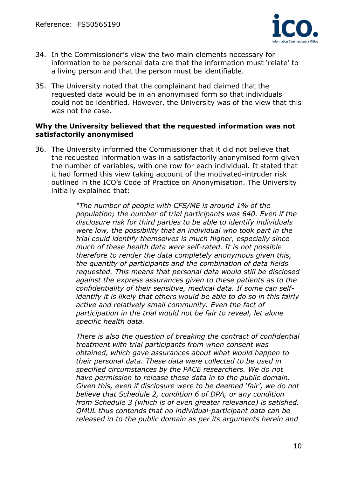

- 34. In the Commissioner's view the two main elements necessary for information to be personal data are that the information must 'relate' to a living person and that the person must be identifiable.
- 35. The University noted that the complainant had claimed that the requested data would be in an anonymised form so that individuals could not be identified. However, the University was of the view that this was not the case.

#### **Why the University believed that the requested information was not satisfactorily anonymised**

36. The University informed the Commissioner that it did not believe that the requested information was in a satisfactorily anonymised form given the number of variables, with one row for each individual. It stated that it had formed this view taking account of the motivated-intruder risk outlined in the ICO's Code of Practice on Anonymisation. The University initially explained that:

> *"The number of people with CFS/ME is around 1% of the population; the number of trial participants was 640. Even if the disclosure risk for third parties to be able to identify individuals were low, the possibility that an individual who took part in the trial could identify themselves is much higher, especially since much of these health data were self-rated. It is not possible therefore to render the data completely anonymous given this, the quantity of participants and the combination of data fields requested. This means that personal data would still be disclosed against the express assurances given to these patients as to the confidentiality of their sensitive, medical data. If some can selfidentify it is likely that others would be able to do so in this fairly active and relatively small community. Even the fact of participation in the trial would not be fair to reveal, let alone specific health data.*

> *There is also the question of breaking the contract of confidential treatment with trial participants from when consent was obtained, which gave assurances about what would happen to their personal data. These data were collected to be used in specified circumstances by the PACE researchers. We do not have permission to release these data in to the public domain. Given this, even if disclosure were to be deemed 'fair', we do not believe that Schedule 2, condition 6 of DPA, or any condition from Schedule 3 (which is of even greater relevance) is satisfied. QMUL thus contends that no individual-participant data can be released in to the public domain as per its arguments herein and*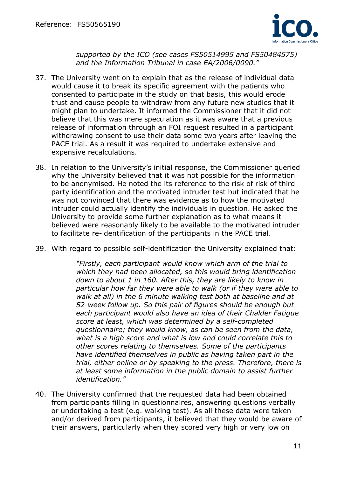

*supported by the ICO (see cases FS50514995 and FS50484575) and the Information Tribunal in case EA/2006/0090."* 

- 37. The University went on to explain that as the release of individual data would cause it to break its specific agreement with the patients who consented to participate in the study on that basis, this would erode trust and cause people to withdraw from any future new studies that it might plan to undertake. It informed the Commissioner that it did not believe that this was mere speculation as it was aware that a previous release of information through an FOI request resulted in a participant withdrawing consent to use their data some two years after leaving the PACE trial. As a result it was required to undertake extensive and expensive recalculations.
- 38. In relation to the University's initial response, the Commissioner queried why the University believed that it was not possible for the information to be anonymised. He noted the its reference to the risk of risk of third party identification and the motivated intruder test but indicated that he was not convinced that there was evidence as to how the motivated intruder could actually identify the individuals in question. He asked the University to provide some further explanation as to what means it believed were reasonably likely to be available to the motivated intruder to facilitate re-identification of the participants in the PACE trial.
- 39. With regard to possible self-identification the University explained that:

*"Firstly, each participant would know which arm of the trial to which they had been allocated, so this would bring identification down to about 1 in 160. After this, they are likely to know in particular how far they were able to walk (or if they were able to walk at all) in the 6 minute walking test both at baseline and at 52-week follow up. So this pair of figures should be enough but each participant would also have an idea of their Chalder Fatigue score at least, which was determined by a self-completed questionnaire; they would know, as can be seen from the data, what is a high score and what is low and could correlate this to other scores relating to themselves. Some of the participants have identified themselves in public as having taken part in the trial, either online or by speaking to the press. Therefore, there is at least some information in the public domain to assist further identification."* 

40. The University confirmed that the requested data had been obtained from participants filling in questionnaires, answering questions verbally or undertaking a test (e.g. walking test). As all these data were taken and/or derived from participants, it believed that they would be aware of their answers, particularly when they scored very high or very low on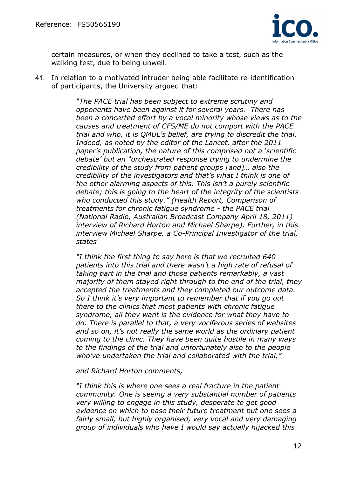

certain measures, or when they declined to take a test, such as the walking test, due to being unwell.

41. In relation to a motivated intruder being able facilitate re-identification of participants, the University argued that:

> *"The PACE trial has been subject to extreme scrutiny and opponents have been against it for several years. There has been a concerted effort by a vocal minority whose views as to the causes and treatment of CFS/ME do not comport with the PACE trial and who, it is QMUL's belief, are trying to discredit the trial. Indeed, as noted by the editor of the Lancet, after the 2011 paper's publication, the nature of this comprised not a 'scientific debate' but an "orchestrated response trying to undermine the credibility of the study from patient groups [and]… also the credibility of the investigators and that's what I think is one of the other alarming aspects of this. This isn't a purely scientific debate; this is going to the heart of the integrity of the scientists who conducted this study." (Health Report, Comparison of treatments for chronic fatigue syndrome - the PACE trial (National Radio, Australian Broadcast Company April 18, 2011) interview of Richard Horton and Michael Sharpe). Further, in this interview Michael Sharpe, a Co-Principal Investigator of the trial, states*

> *"I think the first thing to say here is that we recruited 640 patients into this trial and there wasn't a high rate of refusal of taking part in the trial and those patients remarkably, a vast majority of them stayed right through to the end of the trial, they accepted the treatments and they completed our outcome data. So I think it's very important to remember that if you go out there to the clinics that most patients with chronic fatigue syndrome, all they want is the evidence for what they have to do. There is parallel to that, a very vociferous series of websites and so on, it's not really the same world as the ordinary patient coming to the clinic. They have been quite hostile in many ways to the findings of the trial and unfortunately also to the people who've undertaken the trial and collaborated with the trial,"*

*and Richard Horton comments,* 

*"I think this is where one sees a real fracture in the patient community. One is seeing a very substantial number of patients very willing to engage in this study, desperate to get good evidence on which to base their future treatment but one sees a fairly small, but highly organised, very vocal and very damaging group of individuals who have I would say actually hijacked this*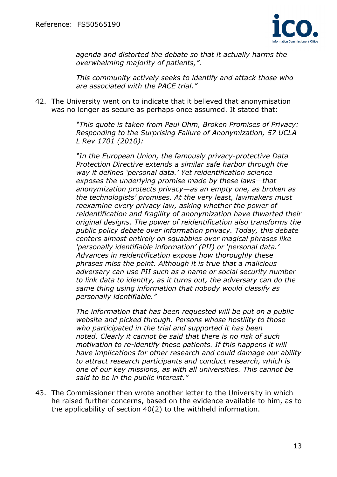

*agenda and distorted the debate so that it actually harms the overwhelming majority of patients,".* 

*This community actively seeks to identify and attack those who are associated with the PACE trial."*

42. The University went on to indicate that it believed that anonymisation was no longer as secure as perhaps once assumed. It stated that:

> *"This quote is taken from Paul Ohm, Broken Promises of Privacy: Responding to the Surprising Failure of Anonymization, 57 UCLA L Rev 1701 (2010):*

*"In the European Union, the famously privacy-protective Data Protection Directive extends a similar safe harbor through the way it defines 'personal data.' Yet reidentification science exposes the underlying promise made by these laws—that anonymization protects privacy—as an empty one, as broken as the technologists' promises. At the very least, lawmakers must reexamine every privacy law, asking whether the power of reidentification and fragility of anonymization have thwarted their original designs. The power of reidentification also transforms the public policy debate over information privacy. Today, this debate centers almost entirely on squabbles over magical phrases like 'personally identifiable information' (PII) or 'personal data.' Advances in reidentification expose how thoroughly these phrases miss the point. Although it is true that a malicious adversary can use PII such as a name or social security number to link data to identity, as it turns out, the adversary can do the same thing using information that nobody would classify as personally identifiable."* 

*The information that has been requested will be put on a public website and picked through. Persons whose hostility to those who participated in the trial and supported it has been noted. Clearly it cannot be said that there is no risk of such motivation to re-identify these patients. If this happens it will have implications for other research and could damage our ability to attract research participants and conduct research, which is one of our key missions, as with all universities. This cannot be said to be in the public interest."* 

43. The Commissioner then wrote another letter to the University in which he raised further concerns, based on the evidence available to him, as to the applicability of section 40(2) to the withheld information.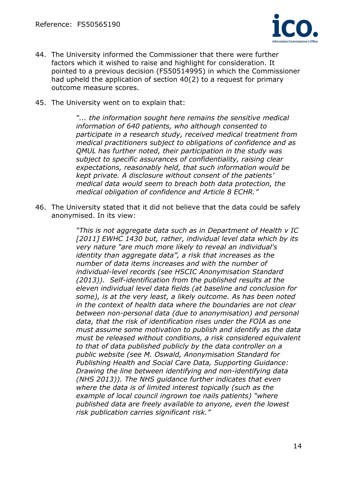

- 44. The University informed the Commissioner that there were further factors which it wished to raise and highlight for consideration. It pointed to a previous decision (FS50514995) in which the Commissioner had upheld the application of section 40(2) to a request for primary outcome measure scores.
- 45. The University went on to explain that:

*"... the information sought here remains the sensitive medical information of 640 patients, who although consented to participate in a research study, received medical treatment from medical practitioners subject to obligations of confidence and as QMUL has further noted, their participation in the study was subject to specific assurances of confidentiality, raising clear expectations, reasonably held, that such information would be kept private. A disclosure without consent of the patients' medical data would seem to breach both data protection, the medical obligation of confidence and Article 8 ECHR."* 

46. The University stated that it did not believe that the data could be safely anonymised. In its view:

> *"This is not aggregate data such as in Department of Health v IC [2011] EWHC 1430 but, rather, individual level data which by its very nature "are much more likely to reveal an individual's identity than aggregate data", a risk that increases as the number of data items increases and with the number of individual-level records (see HSCIC Anonymisation Standard (2013)). Self-identification from the published results at the eleven individual level data fields (at baseline and conclusion for some), is at the very least, a likely outcome. As has been noted in the context of health data where the boundaries are not clear between non-personal data (due to anonymisation) and personal data, that the risk of identification rises under the FOIA as one must assume some motivation to publish and identify as the data must be released without conditions, a risk considered equivalent to that of data published publicly by the data controller on a public website (see M. Oswald, Anonymisation Standard for Publishing Health and Social Care Data, Supporting Guidance: Drawing the line between identifying and non-identifying data (NHS 2013)). The NHS guidance further indicates that even where the data is of limited interest topically (such as the example of local council ingrown toe nails patients) "where published data are freely available to anyone, even the lowest risk publication carries significant risk."*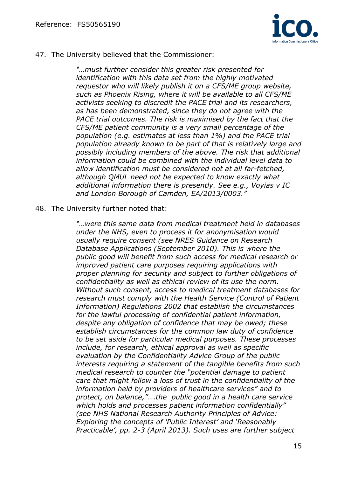

47. The University believed that the Commissioner:

*"…must further consider this greater risk presented for identification with this data set from the highly motivated requestor who will likely publish it on a CFS/ME group website, such as Phoenix Rising, where it will be available to all CFS/ME activists seeking to discredit the PACE trial and its researchers, as has been demonstrated, since they do not agree with the PACE trial outcomes. The risk is maximised by the fact that the CFS/ME patient community is a very small percentage of the population (e.g. estimates at less than 1%) and the PACE trial population already known to be part of that is relatively large and possibly including members of the above. The risk that additional information could be combined with the individual level data to allow identification must be considered not at all far-fetched, although QMUL need not be expected to know exactly what additional information there is presently. See e.g., Voyias v IC and London Borough of Camden, EA/2013/0003."* 

48. The University further noted that:

*"…were this same data from medical treatment held in databases under the NHS, even to process it for anonymisation would usually require consent (see NRES Guidance on Research Database Applications (September 2010). This is where the public good will benefit from such access for medical research or improved patient care purposes requiring applications with proper planning for security and subject to further obligations of confidentiality as well as ethical review of its use the norm. Without such consent, access to medical treatment databases for research must comply with the Health Service (Control of Patient Information) Regulations 2002 that establish the circumstances for the lawful processing of confidential patient information, despite any obligation of confidence that may be owed; these establish circumstances for the common law duty of confidence to be set aside for particular medical purposes. These processes include, for research, ethical approval as well as specific evaluation by the Confidentiality Advice Group of the public interests requiring a statement of the tangible benefits from such medical research to counter the "potential damage to patient care that might follow a loss of trust in the confidentiality of the information held by providers of healthcare services" and to protect, on balance,"….the public good in a health care service which holds and processes patient information confidentially" (see NHS National Research Authority Principles of Advice: Exploring the concepts of 'Public Interest' and 'Reasonably Practicable', pp. 2-3 (April 2013). Such uses are further subject*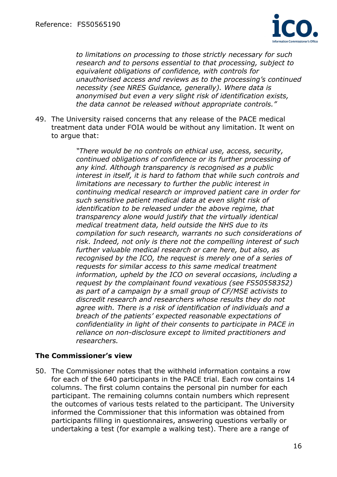

*to limitations on processing to those strictly necessary for such research and to persons essential to that processing, subject to equivalent obligations of confidence, with controls for unauthorised access and reviews as to the processing's continued necessity (see NRES Guidance, generally). Where data is anonymised but even a very slight risk of identification exists, the data cannot be released without appropriate controls."* 

49. The University raised concerns that any release of the PACE medical treatment data under FOIA would be without any limitation. It went on to argue that:

> *"There would be no controls on ethical use, access, security, continued obligations of confidence or its further processing of any kind. Although transparency is recognised as a public interest in itself, it is hard to fathom that while such controls and limitations are necessary to further the public interest in continuing medical research or improved patient care in order for such sensitive patient medical data at even slight risk of identification to be released under the above regime, that transparency alone would justify that the virtually identical medical treatment data, held outside the NHS due to its compilation for such research, warrants no such considerations of risk. Indeed, not only is there not the compelling interest of such further valuable medical research or care here, but also, as recognised by the ICO, the request is merely one of a series of requests for similar access to this same medical treatment information, upheld by the ICO on several occasions, including a request by the complainant found vexatious (see FS50558352) as part of a campaign by a small group of CF/MSE activists to discredit research and researchers whose results they do not agree with. There is a risk of identification of individuals and a breach of the patients' expected reasonable expectations of confidentiality in light of their consents to participate in PACE in reliance on non-disclosure except to limited practitioners and researchers.*

#### **The Commissioner's view**

50. The Commissioner notes that the withheld information contains a row for each of the 640 participants in the PACE trial. Each row contains 14 columns. The first column contains the personal pin number for each participant. The remaining columns contain numbers which represent the outcomes of various tests related to the participant. The University informed the Commissioner that this information was obtained from participants filling in questionnaires, answering questions verbally or undertaking a test (for example a walking test). There are a range of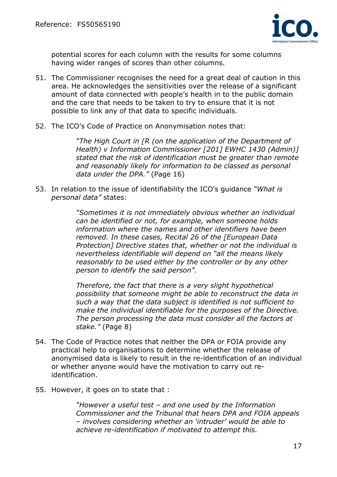

potential scores for each column with the results for some columns having wider ranges of scores than other columns.

- 51. The Commissioner recognises the need for a great deal of caution in this area. He acknowledges the sensitivities over the release of a significant amount of data connected with people's health in to the public domain and the care that needs to be taken to try to ensure that it is not possible to link any of that data to specific individuals.
- 52. The ICO's Code of Practice on Anonymisation notes that:

*"The High Court in [R (on the application of the Department of Health) v Information Commissioner [201] EWHC 1430 (Admin)] stated that the risk of identification must be greater than remote and reasonably likely for information to be classed as personal data under the DPA."* (Page 16)

53. In relation to the issue of identifiability the ICO's guidance *"What is personal data"* states:

> *"Sometimes it is not immediately obvious whether an individual can be identified or not, for example, when someone holds information where the names and other identifiers have been removed. In these cases, Recital 26 of the [European Data Protection] Directive states that, whether or not the individual is nevertheless identifiable will depend on "all the means likely reasonably to be used either by the controller or by any other person to identify the said person".*

> *Therefore, the fact that there is a very slight hypothetical possibility that someone might be able to reconstruct the data in such a way that the data subject is identified is not sufficient to make the individual identifiable for the purposes of the Directive. The person processing the data must consider all the factors at stake."* (Page 8)

- 54. The Code of Practice notes that neither the DPA or FOIA provide any practical help to organisations to determine whether the release of anonymised data is likely to result in the re-identification of an individual or whether anyone would have the motivation to carry out reidentification.
- 55. However, it goes on to state that :

*"However a useful test – and one used by the Information Commissioner and the Tribunal that hears DPA and FOIA appeals – involves considering whether an 'intruder' would be able to achieve re-identification if motivated to attempt this.*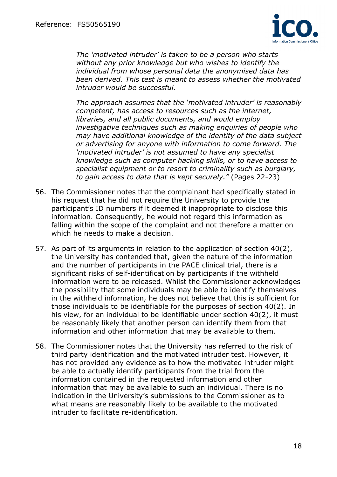

*The 'motivated intruder' is taken to be a person who starts without any prior knowledge but who wishes to identify the individual from whose personal data the anonymised data has been derived. This test is meant to assess whether the motivated intruder would be successful.* 

*The approach assumes that the 'motivated intruder' is reasonably competent, has access to resources such as the internet, libraries, and all public documents, and would employ investigative techniques such as making enquiries of people who may have additional knowledge of the identity of the data subject or advertising for anyone with information to come forward. The 'motivated intruder' is not assumed to have any specialist knowledge such as computer hacking skills, or to have access to specialist equipment or to resort to criminality such as burglary, to gain access to data that is kept securely."* (Pages 22-23)

- 56. The Commissioner notes that the complainant had specifically stated in his request that he did not require the University to provide the participant's ID numbers if it deemed it inappropriate to disclose this information. Consequently, he would not regard this information as falling within the scope of the complaint and not therefore a matter on which he needs to make a decision.
- 57. As part of its arguments in relation to the application of section 40(2), the University has contended that, given the nature of the information and the number of participants in the PACE clinical trial, there is a significant risks of self-identification by participants if the withheld information were to be released. Whilst the Commissioner acknowledges the possibility that some individuals may be able to identify themselves in the withheld information, he does not believe that this is sufficient for those individuals to be identifiable for the purposes of section 40(2). In his view, for an individual to be identifiable under section 40(2), it must be reasonably likely that another person can identify them from that information and other information that may be available to them.
- 58. The Commissioner notes that the University has referred to the risk of third party identification and the motivated intruder test. However, it has not provided any evidence as to how the motivated intruder might be able to actually identify participants from the trial from the information contained in the requested information and other information that may be available to such an individual. There is no indication in the University's submissions to the Commissioner as to what means are reasonably likely to be available to the motivated intruder to facilitate re-identification.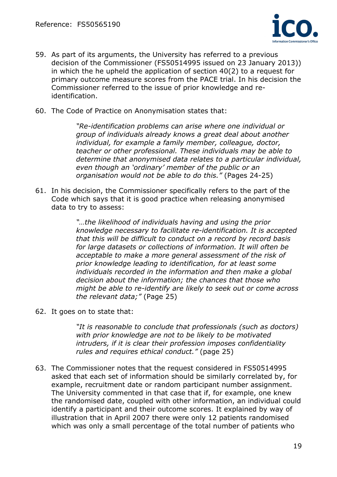

- 59. As part of its arguments, the University has referred to a previous decision of the Commissioner (FS50514995 issued on 23 January 2013)) in which the he upheld the application of section 40(2) to a request for primary outcome measure scores from the PACE trial. In his decision the Commissioner referred to the issue of prior knowledge and reidentification.
- 60. The Code of Practice on Anonymisation states that:

*"Re-identification problems can arise where one individual or group of individuals already knows a great deal about another individual, for example a family member, colleague, doctor, teacher or other professional. These individuals may be able to determine that anonymised data relates to a particular individual, even though an 'ordinary' member of the public or an organisation would not be able to do this."* (Pages 24-25)

61. In his decision, the Commissioner specifically refers to the part of the Code which says that it is good practice when releasing anonymised data to try to assess:

> *"…the likelihood of individuals having and using the prior knowledge necessary to facilitate re-identification. It is accepted that this will be difficult to conduct on a record by record basis for large datasets or collections of information. It will often be acceptable to make a more general assessment of the risk of prior knowledge leading to identification, for at least some individuals recorded in the information and then make a global decision about the information; the chances that those who might be able to re-identify are likely to seek out or come across the relevant data;"* (Page 25)

62. It goes on to state that:

*"It is reasonable to conclude that professionals (such as doctors) with prior knowledge are not to be likely to be motivated intruders, if it is clear their profession imposes confidentiality rules and requires ethical conduct."* (page 25)

63. The Commissioner notes that the request considered in FS50514995 asked that each set of information should be similarly correlated by, for example, recruitment date or random participant number assignment. The University commented in that case that if, for example, one knew the randomised date, coupled with other information, an individual could identify a participant and their outcome scores. It explained by way of illustration that in April 2007 there were only 12 patients randomised which was only a small percentage of the total number of patients who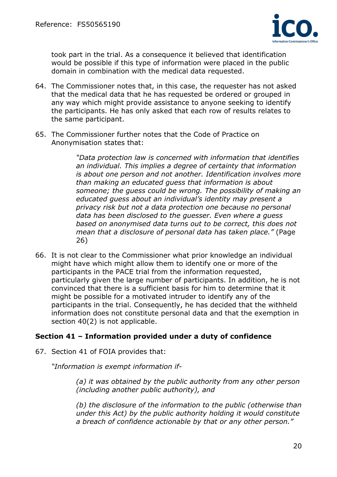

took part in the trial. As a consequence it believed that identification would be possible if this type of information were placed in the public domain in combination with the medical data requested.

- 64. The Commissioner notes that, in this case, the requester has not asked that the medical data that he has requested be ordered or grouped in any way which might provide assistance to anyone seeking to identify the participants. He has only asked that each row of results relates to the same participant.
- 65. The Commissioner further notes that the Code of Practice on Anonymisation states that:

*"Data protection law is concerned with information that identifies an individual. This implies a degree of certainty that information is about one person and not another. Identification involves more than making an educated guess that information is about someone; the guess could be wrong. The possibility of making an educated guess about an individual's identity may present a privacy risk but not a data protection one because no personal data has been disclosed to the guesser. Even where a guess based on anonymised data turns out to be correct, this does not mean that a disclosure of personal data has taken place."* (Page 26)

66. It is not clear to the Commissioner what prior knowledge an individual might have which might allow them to identify one or more of the participants in the PACE trial from the information requested, particularly given the large number of participants. In addition, he is not convinced that there is a sufficient basis for him to determine that it might be possible for a motivated intruder to identify any of the participants in the trial. Consequently, he has decided that the withheld information does not constitute personal data and that the exemption in section 40(2) is not applicable.

# **Section 41 – Information provided under a duty of confidence**

67. Section 41 of FOIA provides that:

*"Information is exempt information if-* 

*(a) it was obtained by the public authority from any other person (including another public authority), and* 

*(b) the disclosure of the information to the public (otherwise than under this Act) by the public authority holding it would constitute a breach of confidence actionable by that or any other person."*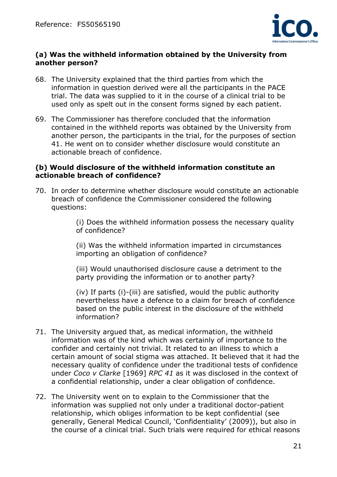

## **(a) Was the withheld information obtained by the University from another person?**

- 68. The University explained that the third parties from which the information in question derived were all the participants in the PACE trial. The data was supplied to it in the course of a clinical trial to be used only as spelt out in the consent forms signed by each patient.
- 69. The Commissioner has therefore concluded that the information contained in the withheld reports was obtained by the University from another person, the participants in the trial, for the purposes of section 41. He went on to consider whether disclosure would constitute an actionable breach of confidence.

#### **(b) Would disclosure of the withheld information constitute an actionable breach of confidence?**

70. In order to determine whether disclosure would constitute an actionable breach of confidence the Commissioner considered the following questions:

> (i) Does the withheld information possess the necessary quality of confidence?

(ii) Was the withheld information imparted in circumstances importing an obligation of confidence?

(iii) Would unauthorised disclosure cause a detriment to the party providing the information or to another party?

(iv) If parts (i)-(iii) are satisfied, would the public authority nevertheless have a defence to a claim for breach of confidence based on the public interest in the disclosure of the withheld information?

- 71. The University argued that, as medical information, the withheld information was of the kind which was certainly of importance to the confider and certainly not trivial. It related to an illness to which a certain amount of social stigma was attached. It believed that it had the necessary quality of confidence under the traditional tests of confidence under *Coco v Clarke* [1969] *RPC 41* as it was disclosed in the context of a confidential relationship, under a clear obligation of confidence.
- 72. The University went on to explain to the Commissioner that the information was supplied not only under a traditional doctor-patient relationship, which obliges information to be kept confidential (see generally, General Medical Council, 'Confidentiality' (2009)), but also in the course of a clinical trial. Such trials were required for ethical reasons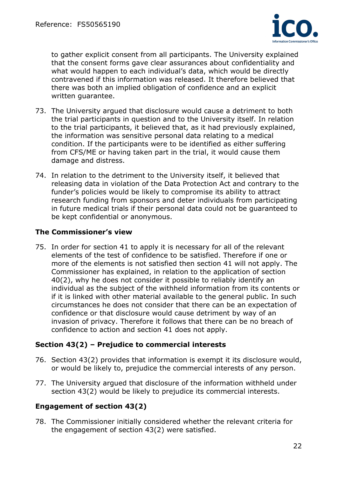

to gather explicit consent from all participants. The University explained that the consent forms gave clear assurances about confidentiality and what would happen to each individual's data, which would be directly contravened if this information was released. It therefore believed that there was both an implied obligation of confidence and an explicit written guarantee.

- 73. The University argued that disclosure would cause a detriment to both the trial participants in question and to the University itself. In relation to the trial participants, it believed that, as it had previously explained, the information was sensitive personal data relating to a medical condition. If the participants were to be identified as either suffering from CFS/ME or having taken part in the trial, it would cause them damage and distress.
- 74. In relation to the detriment to the University itself, it believed that releasing data in violation of the Data Protection Act and contrary to the funder's policies would be likely to compromise its ability to attract research funding from sponsors and deter individuals from participating in future medical trials if their personal data could not be guaranteed to be kept confidential or anonymous.

# **The Commissioner's view**

75. In order for section 41 to apply it is necessary for all of the relevant elements of the test of confidence to be satisfied. Therefore if one or more of the elements is not satisfied then section 41 will not apply. The Commissioner has explained, in relation to the application of section 40(2), why he does not consider it possible to reliably identify an individual as the subject of the withheld information from its contents or if it is linked with other material available to the general public. In such circumstances he does not consider that there can be an expectation of confidence or that disclosure would cause detriment by way of an invasion of privacy. Therefore it follows that there can be no breach of confidence to action and section 41 does not apply.

#### **Section 43(2) – Prejudice to commercial interests**

- 76. Section 43(2) provides that information is exempt it its disclosure would, or would be likely to, prejudice the commercial interests of any person.
- 77. The University argued that disclosure of the information withheld under section 43(2) would be likely to prejudice its commercial interests.

# **Engagement of section 43(2)**

78. The Commissioner initially considered whether the relevant criteria for the engagement of section 43(2) were satisfied.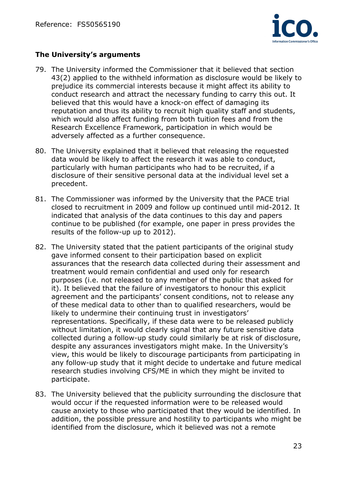

# **The University's arguments**

- 79. The University informed the Commissioner that it believed that section 43(2) applied to the withheld information as disclosure would be likely to prejudice its commercial interests because it might affect its ability to conduct research and attract the necessary funding to carry this out. It believed that this would have a knock-on effect of damaging its reputation and thus its ability to recruit high quality staff and students, which would also affect funding from both tuition fees and from the Research Excellence Framework, participation in which would be adversely affected as a further consequence.
- 80. The University explained that it believed that releasing the requested data would be likely to affect the research it was able to conduct, particularly with human participants who had to be recruited, if a disclosure of their sensitive personal data at the individual level set a precedent.
- 81. The Commissioner was informed by the University that the PACE trial closed to recruitment in 2009 and follow up continued until mid-2012. It indicated that analysis of the data continues to this day and papers continue to be published (for example, one paper in press provides the results of the follow-up up to 2012).
- 82. The University stated that the patient participants of the original study gave informed consent to their participation based on explicit assurances that the research data collected during their assessment and treatment would remain confidential and used only for research purposes (i.e. not released to any member of the public that asked for it). It believed that the failure of investigators to honour this explicit agreement and the participants' consent conditions, not to release any of these medical data to other than to qualified researchers, would be likely to undermine their continuing trust in investigators' representations. Specifically, if these data were to be released publicly without limitation, it would clearly signal that any future sensitive data collected during a follow-up study could similarly be at risk of disclosure, despite any assurances investigators might make. In the University's view, this would be likely to discourage participants from participating in any follow-up study that it might decide to undertake and future medical research studies involving CFS/ME in which they might be invited to participate.
- 83. The University believed that the publicity surrounding the disclosure that would occur if the requested information were to be released would cause anxiety to those who participated that they would be identified. In addition, the possible pressure and hostility to participants who might be identified from the disclosure, which it believed was not a remote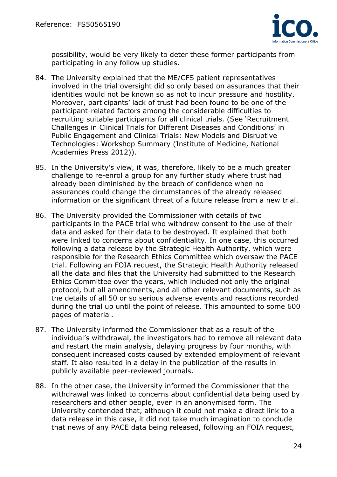

possibility, would be very likely to deter these former participants from participating in any follow up studies.

- 84. The University explained that the ME/CFS patient representatives involved in the trial oversight did so only based on assurances that their identities would not be known so as not to incur pressure and hostility. Moreover, participants' lack of trust had been found to be one of the participant-related factors among the considerable difficulties to recruiting suitable participants for all clinical trials. (See 'Recruitment Challenges in Clinical Trials for Different Diseases and Conditions' in Public Engagement and Clinical Trials: New Models and Disruptive Technologies: Workshop Summary (Institute of Medicine, National Academies Press 2012)).
- 85. In the University's view, it was, therefore, likely to be a much greater challenge to re-enrol a group for any further study where trust had already been diminished by the breach of confidence when no assurances could change the circumstances of the already released information or the significant threat of a future release from a new trial.
- 86. The University provided the Commissioner with details of two participants in the PACE trial who withdrew consent to the use of their data and asked for their data to be destroyed. It explained that both were linked to concerns about confidentiality. In one case, this occurred following a data release by the Strategic Health Authority, which were responsible for the Research Ethics Committee which oversaw the PACE trial. Following an FOIA request, the Strategic Health Authority released all the data and files that the University had submitted to the Research Ethics Committee over the years, which included not only the original protocol, but all amendments, and all other relevant documents, such as the details of all 50 or so serious adverse events and reactions recorded during the trial up until the point of release. This amounted to some 600 pages of material.
- 87. The University informed the Commissioner that as a result of the individual's withdrawal, the investigators had to remove all relevant data and restart the main analysis, delaying progress by four months, with consequent increased costs caused by extended employment of relevant staff. It also resulted in a delay in the publication of the results in publicly available peer-reviewed journals.
- 88. In the other case, the University informed the Commissioner that the withdrawal was linked to concerns about confidential data being used by researchers and other people, even in an anonymised form. The University contended that, although it could not make a direct link to a data release in this case, it did not take much imagination to conclude that news of any PACE data being released, following an FOIA request,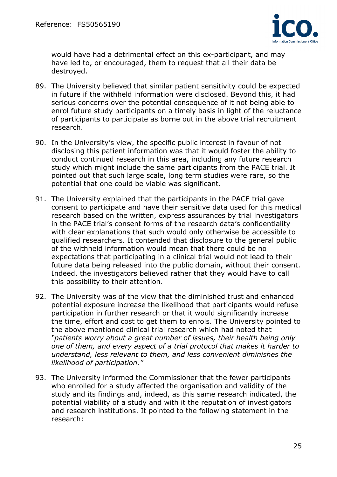

would have had a detrimental effect on this ex-participant, and may have led to, or encouraged, them to request that all their data be destroyed.

- 89. The University believed that similar patient sensitivity could be expected in future if the withheld information were disclosed. Beyond this, it had serious concerns over the potential consequence of it not being able to enrol future study participants on a timely basis in light of the reluctance of participants to participate as borne out in the above trial recruitment research.
- 90. In the University's view, the specific public interest in favour of not disclosing this patient information was that it would foster the ability to conduct continued research in this area, including any future research study which might include the same participants from the PACE trial. It pointed out that such large scale, long term studies were rare, so the potential that one could be viable was significant.
- 91. The University explained that the participants in the PACE trial gave consent to participate and have their sensitive data used for this medical research based on the written, express assurances by trial investigators in the PACE trial's consent forms of the research data's confidentiality with clear explanations that such would only otherwise be accessible to qualified researchers. It contended that disclosure to the general public of the withheld information would mean that there could be no expectations that participating in a clinical trial would not lead to their future data being released into the public domain, without their consent. Indeed, the investigators believed rather that they would have to call this possibility to their attention.
- 92. The University was of the view that the diminished trust and enhanced potential exposure increase the likelihood that participants would refuse participation in further research or that it would significantly increase the time, effort and cost to get them to enrols. The University pointed to the above mentioned clinical trial research which had noted that *"patients worry about a great number of issues, their health being only one of them, and every aspect of a trial protocol that makes it harder to understand, less relevant to them, and less convenient diminishes the likelihood of participation."*
- 93. The University informed the Commissioner that the fewer participants who enrolled for a study affected the organisation and validity of the study and its findings and, indeed, as this same research indicated, the potential viability of a study and with it the reputation of investigators and research institutions. It pointed to the following statement in the research: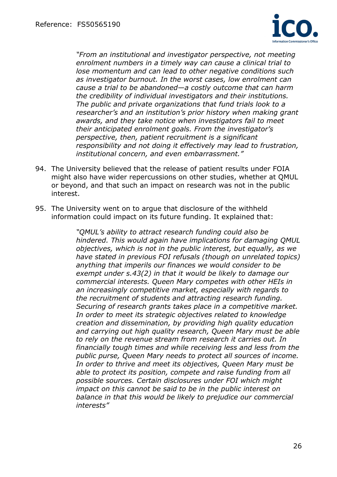

*"From an institutional and investigator perspective, not meeting enrolment numbers in a timely way can cause a clinical trial to lose momentum and can lead to other negative conditions such as investigator burnout. In the worst cases, low enrolment can cause a trial to be abandoned—a costly outcome that can harm the credibility of individual investigators and their institutions. The public and private organizations that fund trials look to a researcher's and an institution's prior history when making grant awards, and they take notice when investigators fail to meet their anticipated enrolment goals. From the investigator's perspective, then, patient recruitment is a significant responsibility and not doing it effectively may lead to frustration, institutional concern, and even embarrassment."* 

- 94. The University believed that the release of patient results under FOIA might also have wider repercussions on other studies, whether at QMUL or beyond, and that such an impact on research was not in the public interest.
- 95. The University went on to argue that disclosure of the withheld information could impact on its future funding. It explained that:

*"QMUL's ability to attract research funding could also be hindered. This would again have implications for damaging QMUL objectives, which is not in the public interest, but equally, as we have stated in previous FOI refusals (though on unrelated topics) anything that imperils our finances we would consider to be exempt under s.43(2) in that it would be likely to damage our commercial interests. Queen Mary competes with other HEIs in an increasingly competitive market, especially with regards to the recruitment of students and attracting research funding. Securing of research grants takes place in a competitive market. In order to meet its strategic objectives related to knowledge creation and dissemination, by providing high quality education and carrying out high quality research, Queen Mary must be able to rely on the revenue stream from research it carries out. In financially tough times and while receiving less and less from the public purse, Queen Mary needs to protect all sources of income. In order to thrive and meet its objectives, Queen Mary must be able to protect its position, compete and raise funding from all possible sources. Certain disclosures under FOI which might impact on this cannot be said to be in the public interest on balance in that this would be likely to prejudice our commercial interests"*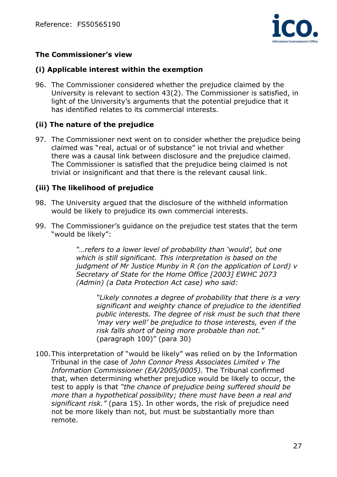

# **The Commissioner's view**

#### **(i) Applicable interest within the exemption**

96. The Commissioner considered whether the prejudice claimed by the University is relevant to section 43(2). The Commissioner is satisfied, in light of the University's arguments that the potential prejudice that it has identified relates to its commercial interests.

# **(ii) The nature of the prejudice**

97. The Commissioner next went on to consider whether the prejudice being claimed was "real, actual or of substance" ie not trivial and whether there was a causal link between disclosure and the prejudice claimed. The Commissioner is satisfied that the prejudice being claimed is not trivial or insignificant and that there is the relevant causal link.

## **(iii) The likelihood of prejudice**

- 98. The University argued that the disclosure of the withheld information would be likely to prejudice its own commercial interests.
- 99. The Commissioner's guidance on the prejudice test states that the term "would be likely":

"... refers to a lower level of probability than 'would', but one *which is still significant. This interpretation is based on the judgment of Mr Justice Munby in R (on the application of Lord) v Secretary of State for the Home Office [2003] EWHC 2073 (Admin) (a Data Protection Act case) who said:* 

*"Likely connotes a degree of probability that there is a very significant and weighty chance of prejudice to the identified public interests. The degree of risk must be such that there 'may very well' be prejudice to those interests, even if the risk falls short of being more probable than not."* (paragraph 100)" (para 30)

100.This interpretation of "would be likely" was relied on by the Information Tribunal in the case of *John Connor Press Associates Limited v The Information Commissioner (EA/2005/0005).* The Tribunal confirmed that, when determining whether prejudice would be likely to occur, the test to apply is that *"the chance of prejudice being suffered should be more than a hypothetical possibility; there must have been a real and significant risk."* (para 15). In other words, the risk of prejudice need not be more likely than not, but must be substantially more than remote.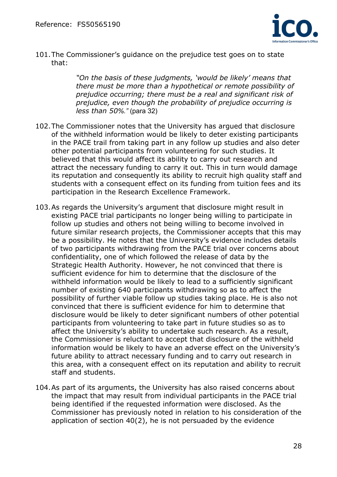

101.The Commissioner's guidance on the prejudice test goes on to state that:

> *"On the basis of these judgments, 'would be likely' means that there must be more than a hypothetical or remote possibility of prejudice occurring; there must be a real and significant risk of prejudice, even though the probability of prejudice occurring is less than 50%."* (para 32)

- 102.The Commissioner notes that the University has argued that disclosure of the withheld information would be likely to deter existing participants in the PACE trail from taking part in any follow up studies and also deter other potential participants from volunteering for such studies. It believed that this would affect its ability to carry out research and attract the necessary funding to carry it out. This in turn would damage its reputation and consequently its ability to recruit high quality staff and students with a consequent effect on its funding from tuition fees and its participation in the Research Excellence Framework.
- 103.As regards the University's argument that disclosure might result in existing PACE trial participants no longer being willing to participate in follow up studies and others not being willing to become involved in future similar research projects, the Commissioner accepts that this may be a possibility. He notes that the University's evidence includes details of two participants withdrawing from the PACE trial over concerns about confidentiality, one of which followed the release of data by the Strategic Health Authority. However, he not convinced that there is sufficient evidence for him to determine that the disclosure of the withheld information would be likely to lead to a sufficiently significant number of existing 640 participants withdrawing so as to affect the possibility of further viable follow up studies taking place. He is also not convinced that there is sufficient evidence for him to determine that disclosure would be likely to deter significant numbers of other potential participants from volunteering to take part in future studies so as to affect the University's ability to undertake such research. As a result, the Commissioner is reluctant to accept that disclosure of the withheld information would be likely to have an adverse effect on the University's future ability to attract necessary funding and to carry out research in this area, with a consequent effect on its reputation and ability to recruit staff and students.
- 104.As part of its arguments, the University has also raised concerns about the impact that may result from individual participants in the PACE trial being identified if the requested information were disclosed. As the Commissioner has previously noted in relation to his consideration of the application of section 40(2), he is not persuaded by the evidence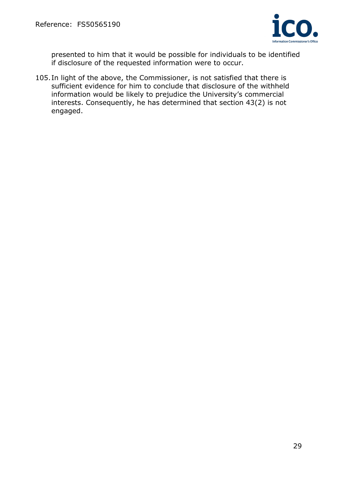

presented to him that it would be possible for individuals to be identified if disclosure of the requested information were to occur.

105.In light of the above, the Commissioner, is not satisfied that there is sufficient evidence for him to conclude that disclosure of the withheld information would be likely to prejudice the University's commercial interests. Consequently, he has determined that section 43(2) is not engaged.